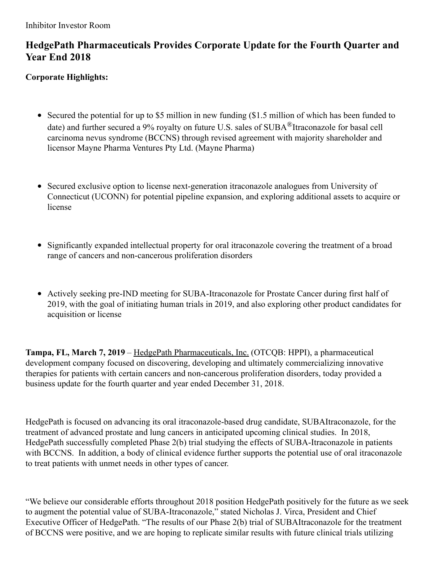# **HedgePath Pharmaceuticals Provides Corporate Update for the Fourth Quarter and Year End 2018**

## **Corporate Highlights:**

- Secured the potential for up to \$5 million in new funding (\$1.5 million of which has been funded to date) and further secured a 9% royalty on future U.S. sales of SUBA<sup>®</sup>Itraconazole for basal cell carcinoma nevus syndrome (BCCNS) through revised agreement with majority shareholder and licensor Mayne Pharma Ventures Pty Ltd. (Mayne Pharma)
- Secured exclusive option to license next-generation itraconazole analogues from University of Connecticut (UCONN) for potential pipeline expansion, and exploring additional assets to acquire or license
- Significantly expanded intellectual property for oral itraconazole covering the treatment of a broad range of cancers and non-cancerous proliferation disorders
- Actively seeking pre-IND meeting for SUBA-Itraconazole for Prostate Cancer during first half of 2019, with the goal of initiating human trials in 2019, and also exploring other product candidates for acquisition or license

**Tampa, FL, March 7, 2019** – HedgePath Pharmaceuticals, Inc. (OTCQB: HPPI), a pharmaceutical development company focused on discovering, developing and ultimately commercializing innovative therapies for patients with certain cancers and non-cancerous proliferation disorders, today provided a business update for the fourth quarter and year ended December 31, 2018.

HedgePath is focused on advancing its oral itraconazole-based drug candidate, SUBAItraconazole, for the treatment of advanced prostate and lung cancers in anticipated upcoming clinical studies. In 2018, HedgePath successfully completed Phase 2(b) trial studying the effects of SUBA-Itraconazole in patients with BCCNS. In addition, a body of clinical evidence further supports the potential use of oral itraconazole to treat patients with unmet needs in other types of cancer.

"We believe our considerable efforts throughout 2018 position HedgePath positively for the future as we seek to augment the potential value of SUBA-Itraconazole," stated Nicholas J. Virca, President and Chief Executive Officer of HedgePath. "The results of our Phase 2(b) trial of SUBAItraconazole for the treatment of BCCNS were positive, and we are hoping to replicate similar results with future clinical trials utilizing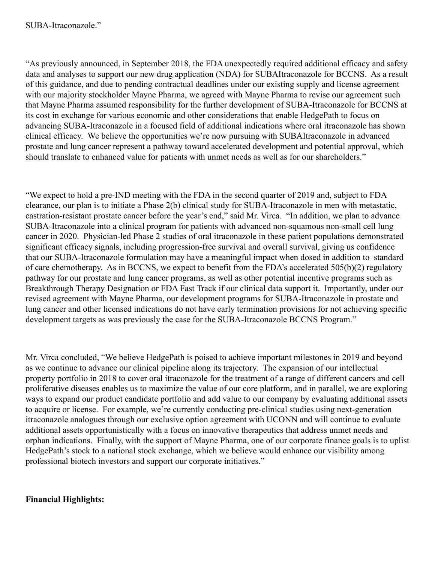"As previously announced, in September 2018, the FDA unexpectedly required additional efficacy and safety data and analyses to support our new drug application (NDA) for SUBAItraconazole for BCCNS. As a result of this guidance, and due to pending contractual deadlines under our existing supply and license agreement with our majority stockholder Mayne Pharma, we agreed with Mayne Pharma to revise our agreement such that Mayne Pharma assumed responsibility for the further development of SUBA-Itraconazole for BCCNS at its cost in exchange for various economic and other considerations that enable HedgePath to focus on advancing SUBA-Itraconazole in a focused field of additional indications where oral itraconazole has shown clinical efficacy. We believe the opportunities we're now pursuing with SUBAItraconazole in advanced prostate and lung cancer represent a pathway toward accelerated development and potential approval, which should translate to enhanced value for patients with unmet needs as well as for our shareholders."

"We expect to hold a pre-IND meeting with the FDA in the second quarter of 2019 and, subject to FDA clearance, our plan is to initiate a Phase 2(b) clinical study for SUBA-Itraconazole in men with metastatic, castration-resistant prostate cancer before the year's end," said Mr. Virca. "In addition, we plan to advance SUBA-Itraconazole into a clinical program for patients with advanced non-squamous non-small cell lung cancer in 2020. Physician-led Phase 2 studies of oral itraconazole in these patient populations demonstrated significant efficacy signals, including progression-free survival and overall survival, giving us confidence that our SUBA-Itraconazole formulation may have a meaningful impact when dosed in addition to standard of care chemotherapy. As in BCCNS, we expect to benefit from the FDA's accelerated 505(b)(2) regulatory pathway for our prostate and lung cancer programs, as well as other potential incentive programs such as Breakthrough Therapy Designation or FDA Fast Track if our clinical data support it. Importantly, under our revised agreement with Mayne Pharma, our development programs for SUBA-Itraconazole in prostate and lung cancer and other licensed indications do not have early termination provisions for not achieving specific development targets as was previously the case for the SUBA-Itraconazole BCCNS Program."

Mr. Virca concluded, "We believe HedgePath is poised to achieve important milestones in 2019 and beyond as we continue to advance our clinical pipeline along its trajectory. The expansion of our intellectual property portfolio in 2018 to cover oral itraconazole for the treatment of a range of different cancers and cell proliferative diseases enables us to maximize the value of our core platform, and in parallel, we are exploring ways to expand our product candidate portfolio and add value to our company by evaluating additional assets to acquire or license. For example, we're currently conducting pre-clinical studies using next-generation itraconazole analogues through our exclusive option agreement with UCONN and will continue to evaluate additional assets opportunistically with a focus on innovative therapeutics that address unmet needs and orphan indications. Finally, with the support of Mayne Pharma, one of our corporate finance goals is to uplist HedgePath's stock to a national stock exchange, which we believe would enhance our visibility among professional biotech investors and support our corporate initiatives."

## **Financial Highlights:**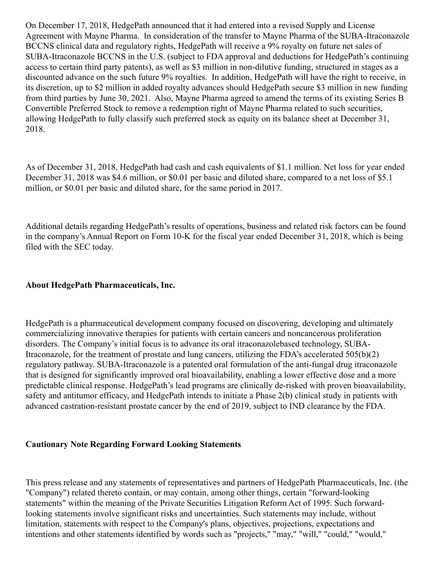On December 17, 2018, HedgePath announced that it had entered into a revised Supply and License Agreement with Mayne Pharma. In consideration of the transfer to Mayne Pharma of the SUBA-Itraconazole BCCNS clinical data and regulatory rights, HedgePath will receive a 9% royalty on future net sales of SUBA-Itraconazole BCCNS in the U.S. (subject to FDA approval and deductions for HedgePath's continuing access to certain third party patents), as well as \$3 million in non-dilutive funding, structured in stages as a discounted advance on the such future 9% royalties. In addition, HedgePath will have the right to receive, in its discretion, up to \$2 million in added royalty advances should HedgePath secure \$3 million in new funding from third parties by June 30, 2021. Also, Mayne Pharma agreed to amend the terms of its existing Series B Convertible Preferred Stock to remove a redemption right of Mayne Pharma related to such securities, allowing HedgePath to fully classify such preferred stock as equity on its balance sheet at December 31, 2018.

As of December 31, 2018, HedgePath had cash and cash equivalents of \$1.1 million. Net loss for year ended December 31, 2018 was \$4.6 million, or \$0.01 per basic and diluted share, compared to a net loss of \$5.1 million, or \$0.01 per basic and diluted share, for the same period in 2017.

Additional details regarding HedgePath's results of operations, business and related risk factors can be found in the company's Annual Report on Form 10-K for the fiscal year ended December 31, 2018, which is being filed with the SEC today.

#### **About HedgePath Pharmaceuticals, Inc.**

HedgePath is a pharmaceutical development company focused on discovering, developing and ultimately commercializing innovative therapies for patients with certain cancers and noncancerous proliferation disorders. The Company's initial focus is to advance its oral itraconazolebased technology, SUBA-Itraconazole, for the treatment of prostate and lung cancers, utilizing the FDA's accelerated 505(b)(2) regulatory pathway. SUBA-Itraconazole is a patented oral formulation of the anti-fungal drug itraconazole that is designed for significantly improved oral bioavailability, enabling a lower effective dose and a more predictable clinical response. HedgePath's lead programs are clinically de-risked with proven bioavailability, safety and antitumor efficacy, and HedgePath intends to initiate a Phase 2(b) clinical study in patients with advanced castration-resistant prostate cancer by the end of 2019, subject to IND clearance by the FDA.

#### **Cautionary Note Regarding Forward Looking Statements**

This press release and any statements of representatives and partners of HedgePath Pharmaceuticals, Inc. (the "Company") related thereto contain, or may contain, among other things, certain "forward-looking statements" within the meaning of the Private Securities Litigation Reform Act of 1995. Such forwardlooking statements involve significant risks and uncertainties. Such statements may include, without limitation, statements with respect to the Company's plans, objectives, projections, expectations and intentions and other statements identified by words such as "projects," "may," "will," "could," "would,"